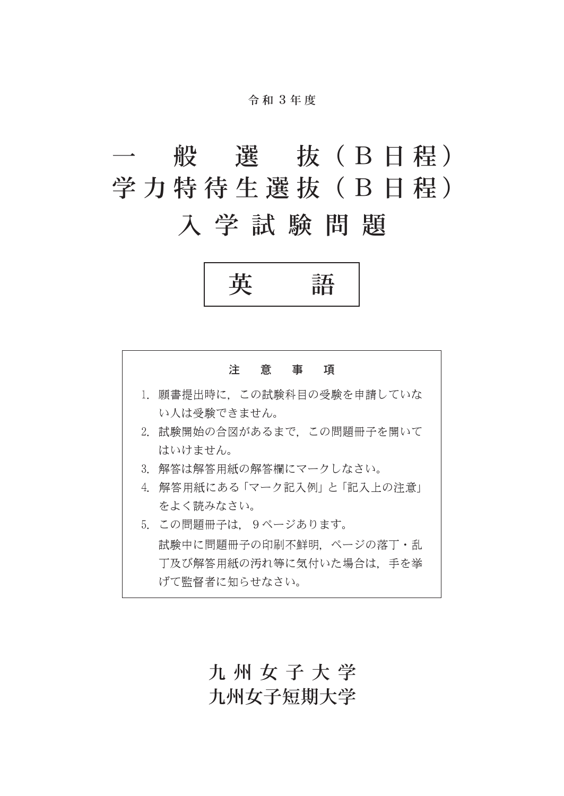#### 令 和 3年 度

# 般 選 抜 (B 日程) 学力特待生選抜(B日程)

入学試験問題





### 九州女子大学 九州女子短期大学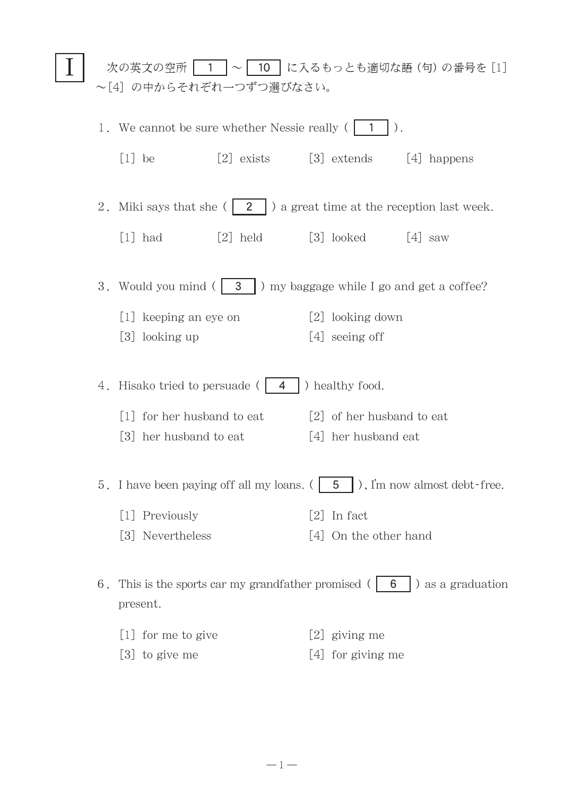| 次の英文の空所   1  ~   10   に入るもっとも適切な語(句)の番号を [1]<br>~[4] の中からそれぞれ一つずつ選びなさい。                      |                                         |                                   |  |                                    |             |
|----------------------------------------------------------------------------------------------|-----------------------------------------|-----------------------------------|--|------------------------------------|-------------|
| 1. We cannot be sure whether Nessie really (1<br>$ \; \rangle$ .                             |                                         |                                   |  |                                    |             |
|                                                                                              | $[1]$ be                                | $[2]$ exists                      |  | [3] extends                        | [4] happens |
| 2. Miki says that she $(2 \mid)$ a great time at the reception last week.                    |                                         |                                   |  |                                    |             |
|                                                                                              | $[1]$ had                               | $[2]$ held $[3]$ looked $[4]$ saw |  |                                    |             |
| 3. Would you mind $($ 3 $)$ my baggage while I go and get a coffee?                          |                                         |                                   |  |                                    |             |
|                                                                                              | [1] keeping an eye on<br>[3] looking up |                                   |  | [2] looking down<br>[4] seeing off |             |
|                                                                                              |                                         |                                   |  |                                    |             |
| ) healthy food.<br>4. Hisako tried to persuade ( <b>4</b>                                    |                                         |                                   |  |                                    |             |
|                                                                                              | [1] for her husband to eat              |                                   |  | [2] of her husband to eat          |             |
|                                                                                              | [3] her husband to eat                  |                                   |  | [4] her husband eat                |             |
| 5. I have been paying off all my loans. $($   5   $)$ , I'm now almost debt-free.            |                                         |                                   |  |                                    |             |
|                                                                                              | [1] Previously                          |                                   |  | $[2]$ In fact                      |             |
|                                                                                              | [3] Nevertheless                        |                                   |  | [4] On the other hand              |             |
| 6. This is the sports car my grandfather promised $( 6 \mid 6 )$ as a graduation<br>present. |                                         |                                   |  |                                    |             |
|                                                                                              | [1] for me to give                      |                                   |  | [2] giving me                      |             |
|                                                                                              | $[3]$ to give me                        |                                   |  | [4] for giving me                  |             |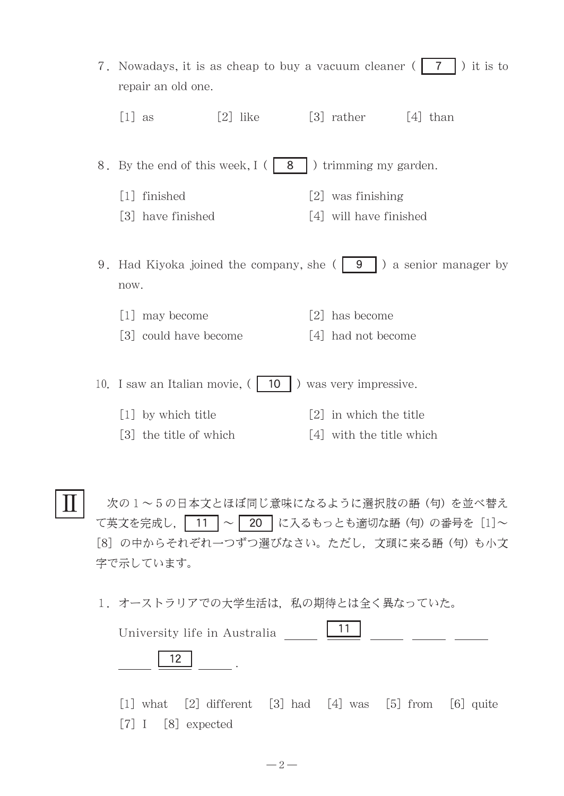| 7. Nowadays, it is as cheap to buy a vacuum cleaner († 7<br>) it is to<br>repair an old one. |            |                   |                          |                                                                        |
|----------------------------------------------------------------------------------------------|------------|-------------------|--------------------------|------------------------------------------------------------------------|
| $[1]$ as                                                                                     | $[2]$ like |                   | $[3]$ rather $[4]$ than  |                                                                        |
| 8. By the end of this week, I (   8                                                          |            |                   | ) trimming my garden.    |                                                                        |
| $\lceil 1 \rceil$ finished                                                                   |            | $\lceil 2 \rceil$ | was finishing            |                                                                        |
| [3] have finished                                                                            |            |                   | [4] will have finished   |                                                                        |
| now.<br>[1] may become                                                                       |            | 2                 | has become               | 9. Had Kiyoka joined the company, she $(9 \mid 9)$ a senior manager by |
| [3] could have become                                                                        |            | 4                 | had not become           |                                                                        |
| 10. I saw an Italian movie, (                                                                | 10         |                   | ) was very impressive.   |                                                                        |
| [1] by which title                                                                           |            | 2                 | in which the title       |                                                                        |
| [3] the title of which                                                                       |            |                   | [4] with the title which |                                                                        |
|                                                                                              |            |                   |                          | 次の1~5の日本文とほぼ同じ意味になるように選択肢の語(句)を並べ替え                                    |

意味になるように選択肢の語(句)を並べ替え て英文を完成し, 11 ~ 20 に入るもっとも適切な語(句)の番号を [1]~ [8] の中からそれぞれ一つずつ選びなさい。ただし、文頭に来る語(句)も小文 字で示しています。

1. オーストラリアでの大学生活は、私の期待とは全く異なっていた。

Ⅱ

| University life in Australia |  |  |  |
|------------------------------|--|--|--|
|                              |  |  |  |

 $[1]$  what  $[2]$  different  $[3]$  had  $[4]$  was  $[5]$  from  $[6]$  quite [7] I [8] expected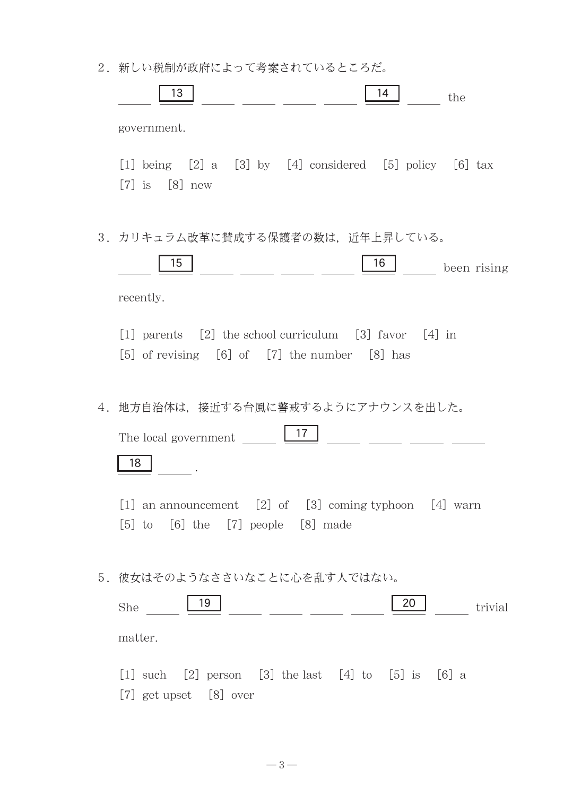2. 新しい税制が政府によって考案されているところだ。

|    | 13                                                                                                                    |                                                    | 14 | the         |
|----|-----------------------------------------------------------------------------------------------------------------------|----------------------------------------------------|----|-------------|
|    | government.                                                                                                           |                                                    |    |             |
|    | [1] being $[2]$ a $[3]$ by $[4]$ considered $[5]$ policy $[6]$ tax<br>$[7]$ is $[8]$ new                              |                                                    |    |             |
| 3. | カリキュラム改革に賛成する保護者の数は,近年上昇している。<br>15                                                                                   |                                                    | 16 | been rising |
|    | recently.                                                                                                             |                                                    |    |             |
|    | [1] parents $[2]$ the school curriculum $[3]$ favor $[4]$ in<br>$[5]$ of revising $[6]$ of $[7]$ the number $[8]$ has |                                                    |    |             |
| 4. | 地方自治体は、接近する台風に警戒するようにアナウンスを出した。<br>The local government                                                               | 17                                                 |    |             |
|    | 18                                                                                                                    |                                                    |    |             |
|    | an announcement $[2]$ of $[3]$ coming typhoon $[4]$ warn<br> 1 <br>to [6] the [7] people [8] made<br> 5               |                                                    |    |             |
|    | 5. 彼女はそのようなささいなことに心を乱す人ではない。                                                                                          |                                                    |    |             |
|    | 19<br>She                                                                                                             | <u> 1999 - Jan Jawa Barat, president politik (</u> | 20 | trivial     |
|    | matter.                                                                                                               |                                                    |    |             |
|    | [2] person [3] the last [4] to [5] is [6] a<br>$\lceil 1 \rceil$ such<br>[7] get upset [8] over                       |                                                    |    |             |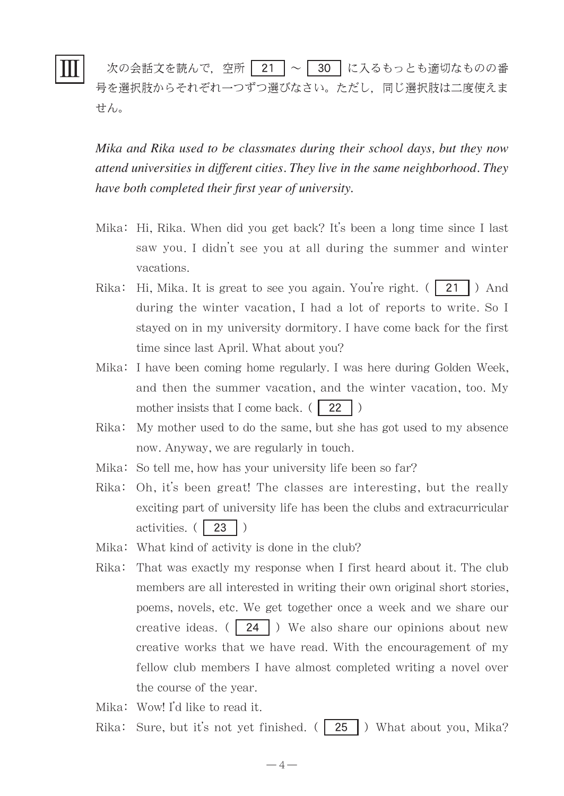## Ⅲ

次の会話文を読んで、空所 | 21 | ~ | 30 | に入るもっとも適切なものの番 号を選択肢からそれぞれ一つずつ選びなさい。ただし,同じ選択肢は二度使えま せん。

*Mika and Rika used to be classmates during their school days, but they now attend universities in different cities. They live in the same neighborhood. They have both completed their first year of university.*

- Mika: Hi, Rika. When did you get back? It's been a long time since I last saw you. I didn't see you at all during the summer and winter vacations.
- Rika: Hi, Mika. It is great to see you again. You're right.  $(21)$  And during the winter vacation, I had a lot of reports to write. So I stayed on in my university dormitory. I have come back for the first time since last April. What about you?
- Mika: I have been coming home regularly. I was here during Golden Week, and then the summer vacation, and the winter vacation, too. My mother insists that I come back.  $( 22 )$
- Rika: My mother used to do the same, but she has got used to my absence now. Anyway, we are regularly in touch.
- Mika: So tell me, how has your university life been so far?
- Rika: Oh, it's been great! The classes are interesting, but the really exciting part of university life has been the clubs and extracurricular activities.  $(\sqrt{23})$
- Mika: What kind of activity is done in the club?
- Rika: That was exactly my response when I first heard about it. The club members are all interested in writing their own original short stories, poems, novels, etc. We get together once a week and we share our creative ideas.  $( 24 )$  We also share our opinions about new creative works that we have read. With the encouragement of my fellow club members I have almost completed writing a novel over the course of the year.

Mika: Wow! I'd like to read it.

Rika: Sure, but it's not yet finished.  $($  | 25 |  $)$  What about you, Mika?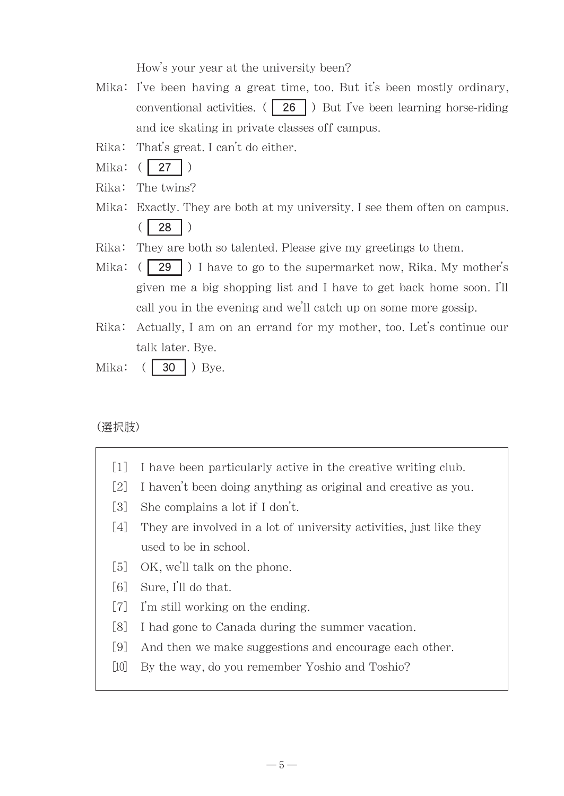How's your year at the university been?

- Mika: I've been having a great time, too. But it's been mostly ordinary, conventional activities.  $(26)$  But I've been learning horse-riding and ice skating in private classes off campus.
- Rika: That's great. I can't do either.
- Mika: ( **27** )
- Rika: The twins?
- Mika: Exactly. They are both at my university. I see them often on campus.  $($  | 28
- Rika: They are both so talented. Please give my greetings to them.
- Mika:  $(|29|)$  I have to go to the supermarket now, Rika. My mother's given me a big shopping list and I have to get back home soon. I'll call you in the evening and we'll catch up on some more gossip.
- Rika: Actually, I am on an errand for my mother, too. Let's continue our talk later. Bye.
- Mika:  $( \mid 30 \mid )$  Bye.

### (選択肢)

- [1] I have been particularly active in the creative writing club.
- [2] I haven't been doing anything as original and creative as you.
- [3] She complains a lot if I don't.
- [4] They are involved in a lot of university activities, just like they used to be in school.
- [5] OK, we'll talk on the phone.
- [6] Sure, I'll do that.
- [7] I'm still working on the ending.
- [8] I had gone to Canada during the summer vacation.
- [9] And then we make suggestions and encourage each other.
- [10] By the way, do you remember Yoshio and Toshio?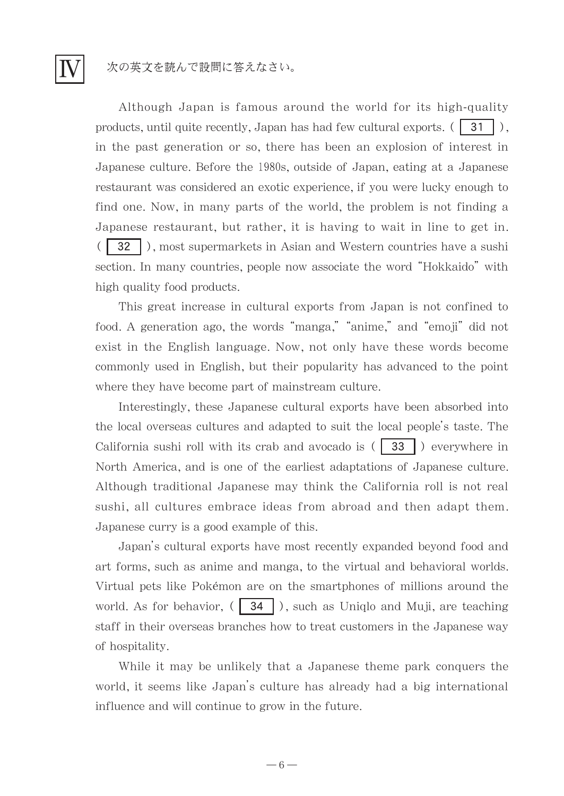次の英文を読んで設問に答えなさい。

Ⅳ

Although Japan is famous around the world for its high-quality products, until quite recently, Japan has had few cultural exports.  $( \begin{bmatrix} 31 \end{bmatrix} )$ , in the past generation or so, there has been an explosion of interest in Japanese culture. Before the 1980s, outside of Japan, eating at a Japanese restaurant was considered an exotic experience, if you were lucky enough to find one. Now, in many parts of the world, the problem is not finding a Japanese restaurant, but rather, it is having to wait in line to get in. 32 ), most supermarkets in Asian and Western countries have a sushi section. In many countries, people now associate the word "Hokkaido" with high quality food products.

This great increase in cultural exports from Japan is not confined to food. A generation ago, the words "manga," "anime," and "emoji" did not exist in the English language. Now, not only have these words become commonly used in English, but their popularity has advanced to the point where they have become part of mainstream culture.

Interestingly, these Japanese cultural exports have been absorbed into the local overseas cultures and adapted to suit the local people's taste. The California sushi roll with its crab and avocado is  $( 33 )$  ) everywhere in North America, and is one of the earliest adaptations of Japanese culture. Although traditional Japanese may think the California roll is not real sushi, all cultures embrace ideas from abroad and then adapt them. Japanese curry is a good example of this.

Japan's cultural exports have most recently expanded beyond food and art forms, such as anime and manga, to the virtual and behavioral worlds. Virtual pets like Pokémon are on the smartphones of millions around the world. As for behavior,  $($  34  $)$ , such as Uniqlo and Muji, are teaching staff in their overseas branches how to treat customers in the Japanese way of hospitality.

While it may be unlikely that a Japanese theme park conquers the world, it seems like Japan's culture has already had a big international influence and will continue to grow in the future.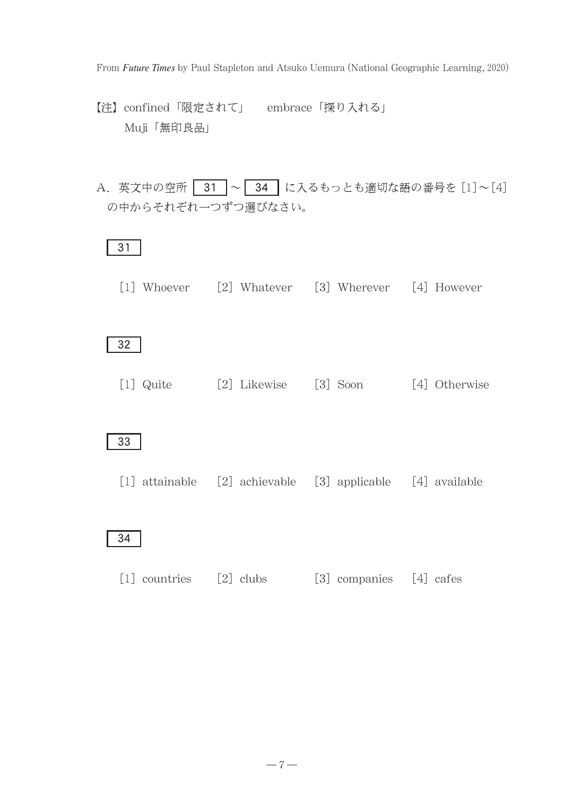From *Future Times* by Paul Stapleton and Atsuko Uemura (National Geographic Learning, 2020)

- 【注】confined「限定されて」 embrace「探り入れる」 Muji「無印良品」
- A. 英文中の空所 31 ~ 34 に入るもっとも適切な語の番号を [1]~[4] の中からそれぞれ一つずつ選びなさい。

### 31

[1] Whoever [2] Whatever [3] Wherever [4] However

32

[1] Quite [2] Likewise [3] Soon [4] Otherwise

33

[1] attainable [2] achievable [3] applicable [4] available

### 34

[1] countries [2] clubs [3] companies [4] cafes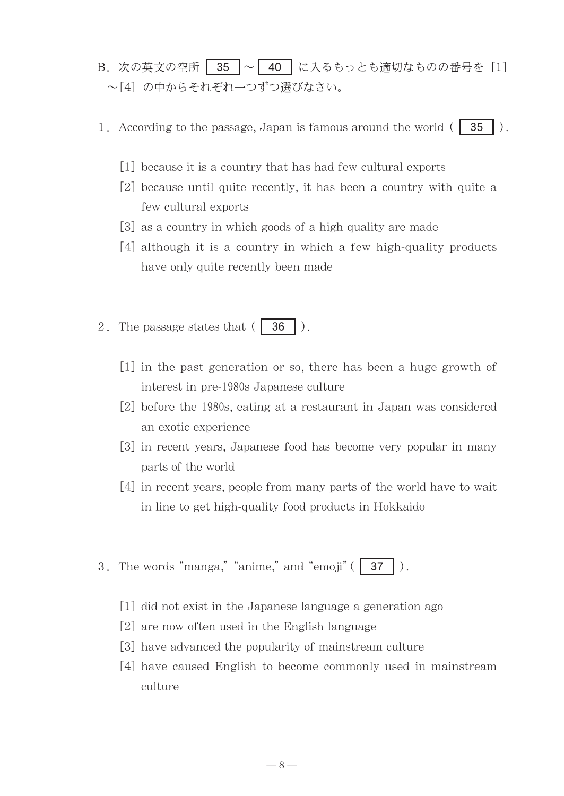- B. 次の英文の空所 35 ~ 40 に入るもっとも適切なものの番号を [1] ~[4] の中からそれぞれ一つずつ選びなさい。
- 1. According to the passage, Japan is famous around the world  $( 35 )$ .
	- [1] because it is a country that has had few cultural exports
	- [2] because until quite recently, it has been a country with quite a few cultural exports
	- [3] as a country in which goods of a high quality are made
	- [4] although it is a country in which a few high-quality products have only quite recently been made
- 2. The passage states that  $( 36 )$ .
	- $[1]$  in the past generation or so, there has been a huge growth of interest in pre-1980s Japanese culture
	- [2] before the 1980s, eating at a restaurant in Japan was considered an exotic experience
	- [3]in recent years, Japanese food has become very popular in many parts of the world
	- [4] in recent years, people from many parts of the world have to wait in line to get high-quality food products in Hokkaido
- 3. The words "manga," "anime," and "emoji"  $(37)$ .
	- [1] did not exist in the Japanese language a generation ago
	- [2] are now often used in the English language
	- [3] have advanced the popularity of mainstream culture
	- [4] have caused English to become commonly used in mainstream culture